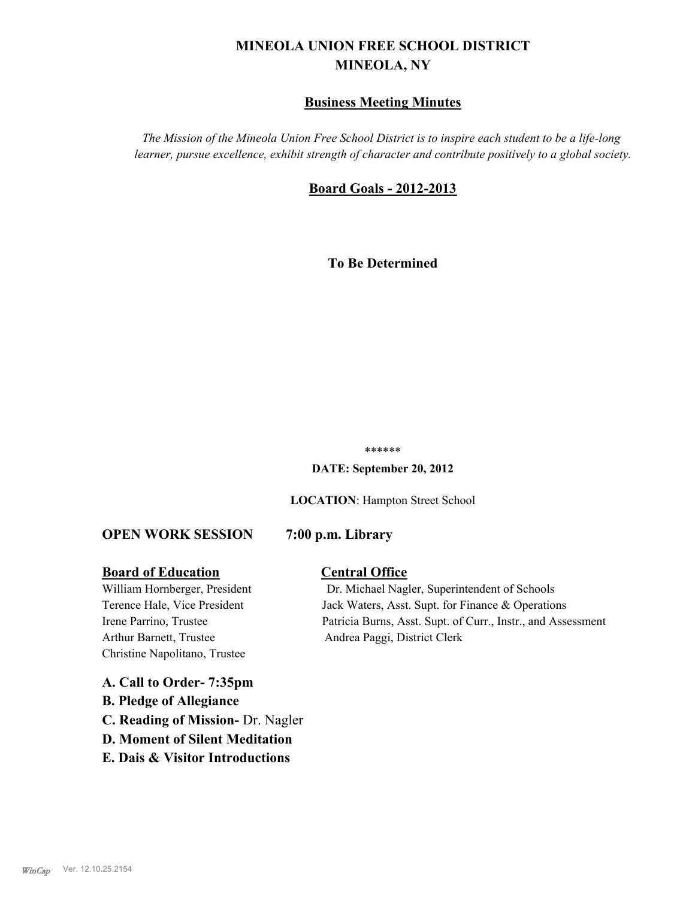# **MINEOLA UNION FREE SCHOOL DISTRICT MINEOLA, NY**

# **Business Meeting Minutes**

*The Mission of the Mineola Union Free School District is to inspire each student to be a life-long learner, pursue excellence, exhibit strength of character and contribute positively to a global society.*

# **Board Goals - 2012-2013**

**To Be Determined**

#### \*\*\*\*\*\*

**DATE: September 20, 2012**

**LOCATION**: Hampton Street School

#### **OPEN WORK SESSION 7:00 p.m. Library**

#### **Board of Education Central Office**

Arthur Barnett, Trustee Andrea Paggi, District Clerk Christine Napolitano, Trustee

William Hornberger, President Dr. Michael Nagler, Superintendent of Schools Terence Hale, Vice President Jack Waters, Asst. Supt. for Finance & Operations Irene Parrino, Trustee Patricia Burns, Asst. Supt. of Curr., Instr., and Assessment

**A. Call to Order- 7:35pm B. Pledge of Allegiance C. Reading of Mission-** Dr. Nagler **D. Moment of Silent Meditation E. Dais & Visitor Introductions**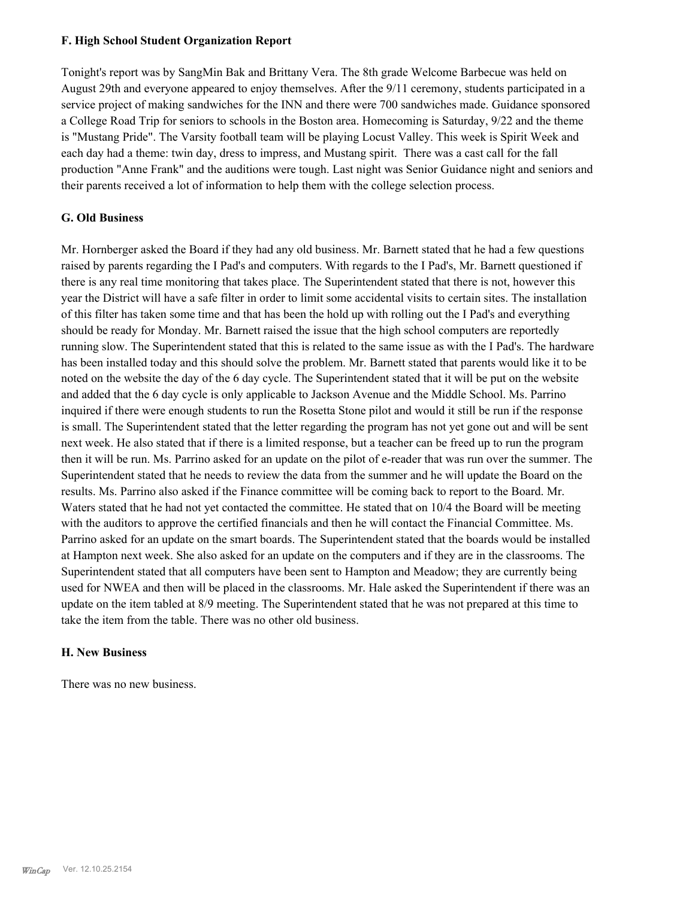#### **F. High School Student Organization Report**

Tonight's report was by SangMin Bak and Brittany Vera. The 8th grade Welcome Barbecue was held on August 29th and everyone appeared to enjoy themselves. After the 9/11 ceremony, students participated in a service project of making sandwiches for the INN and there were 700 sandwiches made. Guidance sponsored a College Road Trip for seniors to schools in the Boston area. Homecoming is Saturday, 9/22 and the theme is "Mustang Pride". The Varsity football team will be playing Locust Valley. This week is Spirit Week and each day had a theme: twin day, dress to impress, and Mustang spirit. There was a cast call for the fall production "Anne Frank" and the auditions were tough. Last night was Senior Guidance night and seniors and their parents received a lot of information to help them with the college selection process.

#### **G. Old Business**

Mr. Hornberger asked the Board if they had any old business. Mr. Barnett stated that he had a few questions raised by parents regarding the I Pad's and computers. With regards to the I Pad's, Mr. Barnett questioned if there is any real time monitoring that takes place. The Superintendent stated that there is not, however this year the District will have a safe filter in order to limit some accidental visits to certain sites. The installation of this filter has taken some time and that has been the hold up with rolling out the I Pad's and everything should be ready for Monday. Mr. Barnett raised the issue that the high school computers are reportedly running slow. The Superintendent stated that this is related to the same issue as with the I Pad's. The hardware has been installed today and this should solve the problem. Mr. Barnett stated that parents would like it to be noted on the website the day of the 6 day cycle. The Superintendent stated that it will be put on the website and added that the 6 day cycle is only applicable to Jackson Avenue and the Middle School. Ms. Parrino inquired if there were enough students to run the Rosetta Stone pilot and would it still be run if the response is small. The Superintendent stated that the letter regarding the program has not yet gone out and will be sent next week. He also stated that if there is a limited response, but a teacher can be freed up to run the program then it will be run. Ms. Parrino asked for an update on the pilot of e-reader that was run over the summer. The Superintendent stated that he needs to review the data from the summer and he will update the Board on the results. Ms. Parrino also asked if the Finance committee will be coming back to report to the Board. Mr. Waters stated that he had not yet contacted the committee. He stated that on 10/4 the Board will be meeting with the auditors to approve the certified financials and then he will contact the Financial Committee. Ms. Parrino asked for an update on the smart boards. The Superintendent stated that the boards would be installed at Hampton next week. She also asked for an update on the computers and if they are in the classrooms. The Superintendent stated that all computers have been sent to Hampton and Meadow; they are currently being used for NWEA and then will be placed in the classrooms. Mr. Hale asked the Superintendent if there was an update on the item tabled at 8/9 meeting. The Superintendent stated that he was not prepared at this time to take the item from the table. There was no other old business.

#### **H. New Business**

There was no new business.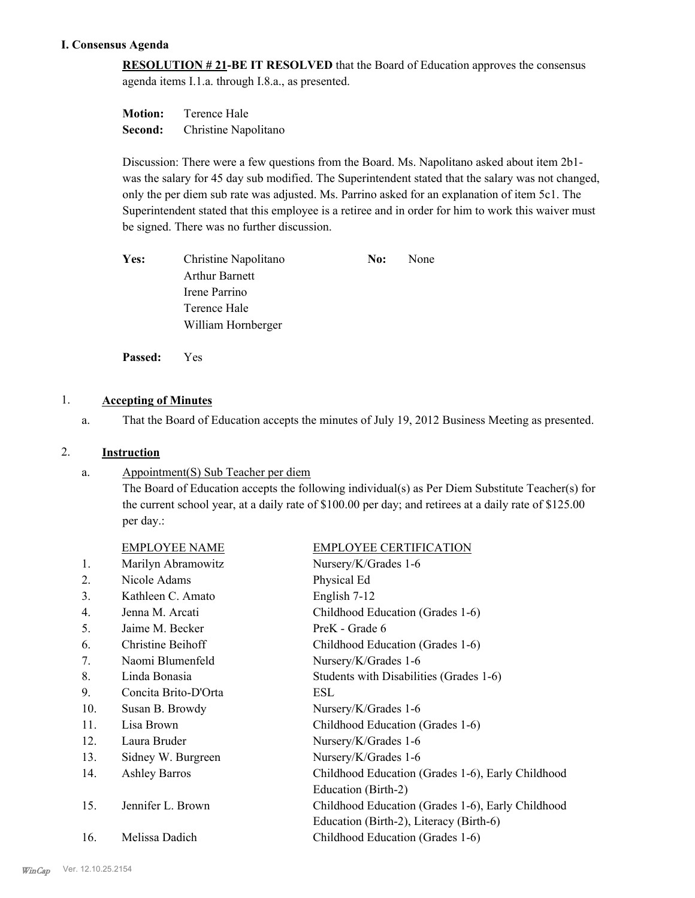### **I. Consensus Agenda**

**RESOLUTION # 21-BE IT RESOLVED** that the Board of Education approves the consensus agenda items I.1.a. through I.8.a., as presented.

| <b>Motion:</b> | Terence Hale         |
|----------------|----------------------|
| Second:        | Christine Napolitano |

Discussion: There were a few questions from the Board. Ms. Napolitano asked about item 2b1 was the salary for 45 day sub modified. The Superintendent stated that the salary was not changed, only the per diem sub rate was adjusted. Ms. Parrino asked for an explanation of item 5c1. The Superintendent stated that this employee is a retiree and in order for him to work this waiver must be signed. There was no further discussion.

| Yes: | Christine Napolitano  | No: | None |
|------|-----------------------|-----|------|
|      | <b>Arthur Barnett</b> |     |      |
|      | Irene Parrino         |     |      |
|      | Terence Hale          |     |      |
|      | William Hornberger    |     |      |
|      |                       |     |      |

**Passed:** Yes

# 1. **Accepting of Minutes**

a. That the Board of Education accepts the minutes of July 19, 2012 Business Meeting as presented.

#### 2. **Instruction**

Appointment(S) Sub Teacher per diem a.

> The Board of Education accepts the following individual(s) as Per Diem Substitute Teacher(s) for the current school year, at a daily rate of \$100.00 per day; and retirees at a daily rate of \$125.00 per day.:

|                | <b>EMPLOYEE NAME</b> | <b>EMPLOYEE CERTIFICATION</b>                     |
|----------------|----------------------|---------------------------------------------------|
| 1.             | Marilyn Abramowitz   | Nursery/K/Grades 1-6                              |
| 2.             | Nicole Adams         | Physical Ed                                       |
| 3.             | Kathleen C. Amato    | English 7-12                                      |
| $\mathbf{4}$ . | Jenna M. Arcati      | Childhood Education (Grades 1-6)                  |
| 5.             | Jaime M. Becker      | PreK - Grade 6                                    |
| 6.             | Christine Beihoff    | Childhood Education (Grades 1-6)                  |
| 7.             | Naomi Blumenfeld     | Nursery/K/Grades 1-6                              |
| 8.             | Linda Bonasia        | Students with Disabilities (Grades 1-6)           |
| 9.             | Concita Brito-D'Orta | ESL                                               |
| 10.            | Susan B. Browdy      | Nursery/K/Grades 1-6                              |
| 11.            | Lisa Brown           | Childhood Education (Grades 1-6)                  |
| 12.            | Laura Bruder         | Nursery/K/Grades 1-6                              |
| 13.            | Sidney W. Burgreen   | Nursery/K/Grades 1-6                              |
| 14.            | <b>Ashley Barros</b> | Childhood Education (Grades 1-6), Early Childhood |
|                |                      | Education (Birth-2)                               |
| 15.            | Jennifer L. Brown    | Childhood Education (Grades 1-6), Early Childhood |
|                |                      | Education (Birth-2), Literacy (Birth-6)           |
| 16.            | Melissa Dadich       | Childhood Education (Grades 1-6)                  |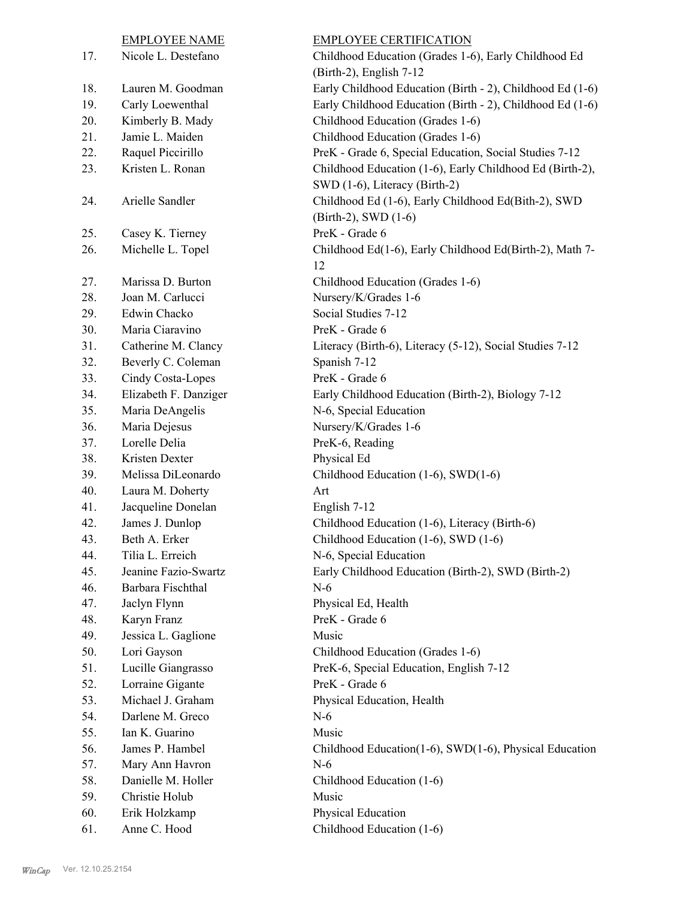|            | <b>EMPLOYEE NAME</b>                   | <b>EMPLOYEE CERTIFICATION</b>                             |
|------------|----------------------------------------|-----------------------------------------------------------|
| 17.        | Nicole L. Destefano                    | Childhood Education (Grades 1-6), Early Childhood Ed      |
|            |                                        | (Birth-2), English 7-12                                   |
| 18.        | Lauren M. Goodman                      | Early Childhood Education (Birth - 2), Childhood Ed (1-6) |
| 19.        | Carly Loewenthal                       | Early Childhood Education (Birth - 2), Childhood Ed (1-6) |
| 20.        | Kimberly B. Mady                       | Childhood Education (Grades 1-6)                          |
| 21.        | Jamie L. Maiden                        | Childhood Education (Grades 1-6)                          |
| 22.        | Raquel Piccirillo                      | PreK - Grade 6, Special Education, Social Studies 7-12    |
| 23.        | Kristen L. Ronan                       | Childhood Education (1-6), Early Childhood Ed (Birth-2),  |
|            |                                        | SWD (1-6), Literacy (Birth-2)                             |
| 24.        | Arielle Sandler                        | Childhood Ed (1-6), Early Childhood Ed(Bith-2), SWD       |
|            |                                        | (Birth-2), SWD (1-6)                                      |
| 25.        | Casey K. Tierney                       | PreK - Grade 6                                            |
| 26.        | Michelle L. Topel                      | Childhood Ed(1-6), Early Childhood Ed(Birth-2), Math 7-   |
|            |                                        | 12                                                        |
| 27.        | Marissa D. Burton                      | Childhood Education (Grades 1-6)                          |
| 28.        | Joan M. Carlucci                       | Nursery/K/Grades 1-6                                      |
| 29.        | Edwin Chacko                           | Social Studies 7-12                                       |
| 30.        | Maria Ciaravino                        | PreK - Grade 6                                            |
| 31.        | Catherine M. Clancy                    | Literacy (Birth-6), Literacy (5-12), Social Studies 7-12  |
| 32.        | Beverly C. Coleman                     | Spanish 7-12                                              |
| 33.        | Cindy Costa-Lopes                      | PreK - Grade 6                                            |
| 34.        | Elizabeth F. Danziger                  | Early Childhood Education (Birth-2), Biology 7-12         |
| 35.        | Maria DeAngelis                        | N-6, Special Education                                    |
| 36.        | Maria Dejesus                          | Nursery/K/Grades 1-6                                      |
| 37.        | Lorelle Delia                          | PreK-6, Reading                                           |
| 38.        | Kristen Dexter                         | Physical Ed                                               |
| 39.        | Melissa DiLeonardo                     | Childhood Education (1-6), SWD(1-6)                       |
| 40.        | Laura M. Doherty                       | Art                                                       |
| 41.        | Jacqueline Donelan                     | English 7-12                                              |
| 42.        | James J. Dunlop                        | Childhood Education (1-6), Literacy (Birth-6)             |
| 43.        | Beth A. Erker                          | Childhood Education (1-6), SWD (1-6)                      |
| 44.        | Tilia L. Erreich                       | N-6, Special Education                                    |
| 45.        | Jeanine Fazio-Swartz                   | Early Childhood Education (Birth-2), SWD (Birth-2)        |
| 46.        | Barbara Fischthal                      | $N-6$                                                     |
| 47.        | Jaclyn Flynn                           | Physical Ed, Health                                       |
| 48.        | Karyn Franz                            | PreK - Grade 6                                            |
| 49.        | Jessica L. Gaglione                    | Music                                                     |
| 50.        | Lori Gayson                            | Childhood Education (Grades 1-6)                          |
| 51.<br>52. | Lucille Giangrasso<br>Lorraine Gigante | PreK-6, Special Education, English 7-12<br>PreK - Grade 6 |
| 53.        | Michael J. Graham                      |                                                           |
| 54.        | Darlene M. Greco                       | Physical Education, Health<br>$N-6$                       |
| 55.        | Ian K. Guarino                         | Music                                                     |
| 56.        | James P. Hambel                        | Childhood Education(1-6), SWD(1-6), Physical Education    |
| 57.        |                                        | $N-6$                                                     |
| 58.        | Mary Ann Havron<br>Danielle M. Holler  | Childhood Education (1-6)                                 |
| 59.        | Christie Holub                         | Music                                                     |
| 60.        | Erik Holzkamp                          | Physical Education                                        |
| 61.        | Anne C. Hood                           | Childhood Education (1-6)                                 |
|            |                                        |                                                           |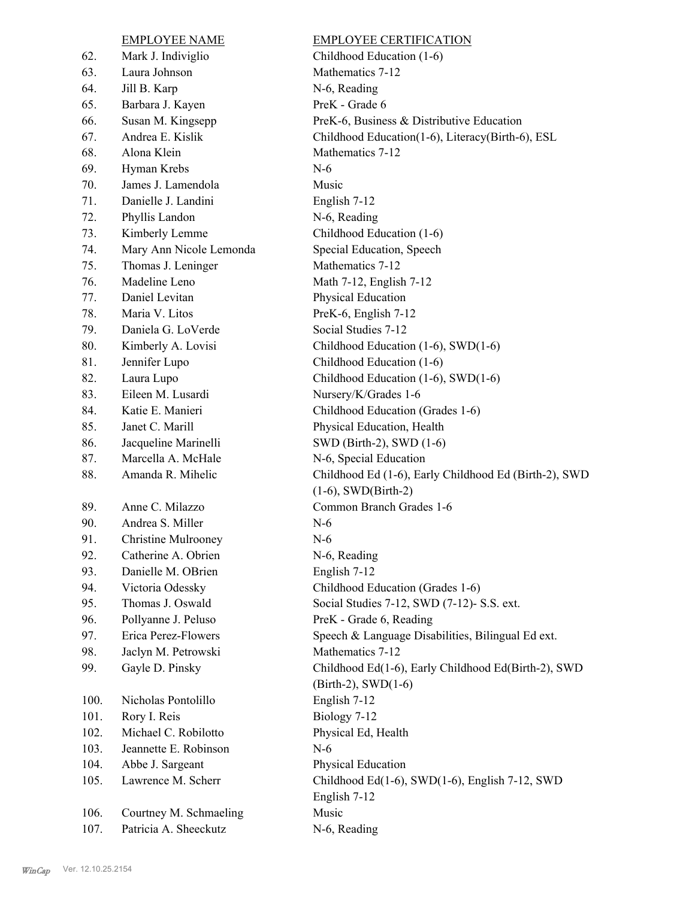# 62. Mark J. Indiviglio Childhood Education (1-6) 63. Laura Johnson Mathematics 7-12 64. Jill B. Karp N-6, Reading 65. Barbara J. Kayen PreK - Grade 6 68. Alona Klein Mathematics 7-12 69. Hyman Krebs N-6 70. James J. Lamendola Music 71. Danielle J. Landini English 7-12 72. Phyllis Landon N-6, Reading 73. Kimberly Lemme Childhood Education (1-6) 74. Mary Ann Nicole Lemonda Special Education, Speech 75. Thomas J. Leninger Mathematics 7-12 76. Madeline Leno Math 7-12, English 7-12 77. Daniel Levitan Physical Education 78. Maria V. Litos PreK-6, English 7-12 79. Daniela G. LoVerde Social Studies 7-12 81. Jennifer Lupo Childhood Education (1-6) 83. Eileen M. Lusardi Nursery/K/Grades 1-6 85. Janet C. Marill Physical Education, Health 86. Jacqueline Marinelli SWD (Birth-2), SWD (1-6) 87. Marcella A. McHale N-6, Special Education 88. 89. Anne C. Milazzo Common Branch Grades 1-6 90. Andrea S. Miller N-6 91. Christine Mulrooney N-6 92. Catherine A. Obrien N-6, Reading 93. Danielle M. OBrien English 7-12 96. Pollyanne J. Peluso PreK - Grade 6, Reading 98. Jaclyn M. Petrowski Mathematics 7-12 99. 100. Nicholas Pontolillo English 7-12 101. Rory I. Reis Biology 7-12 102. Michael C. Robilotto Physical Ed, Health 103. Jeannette E. Robinson N-6 104. Abbe J. Sargeant Physical Education 105. 106. Courtney M. Schmaeling Music 107. Patricia A. Sheeckutz N-6, Reading

EMPLOYEE NAME EMPLOYEE CERTIFICATION 66. Susan M. Kingsepp PreK-6, Business & Distributive Education 67. Andrea E. Kislik Childhood Education(1-6), Literacy(Birth-6), ESL 80. Kimberly A. Lovisi Childhood Education (1-6), SWD(1-6) 82. Laura Lupo Childhood Education (1-6), SWD(1-6) 84. Katie E. Manieri Childhood Education (Grades 1-6) Amanda R. Mihelic Childhood Ed (1-6), Early Childhood Ed (Birth-2), SWD (1-6), SWD(Birth-2) 94. Victoria Odessky Childhood Education (Grades 1-6) 95. Thomas J. Oswald Social Studies 7-12, SWD (7-12)- S.S. ext. 97. Erica Perez-Flowers Speech & Language Disabilities, Bilingual Ed ext. Gayle D. Pinsky Childhood Ed(1-6), Early Childhood Ed(Birth-2), SWD (Birth-2), SWD(1-6) Lawrence M. Scherr Childhood Ed(1-6), SWD(1-6), English 7-12, SWD English 7-12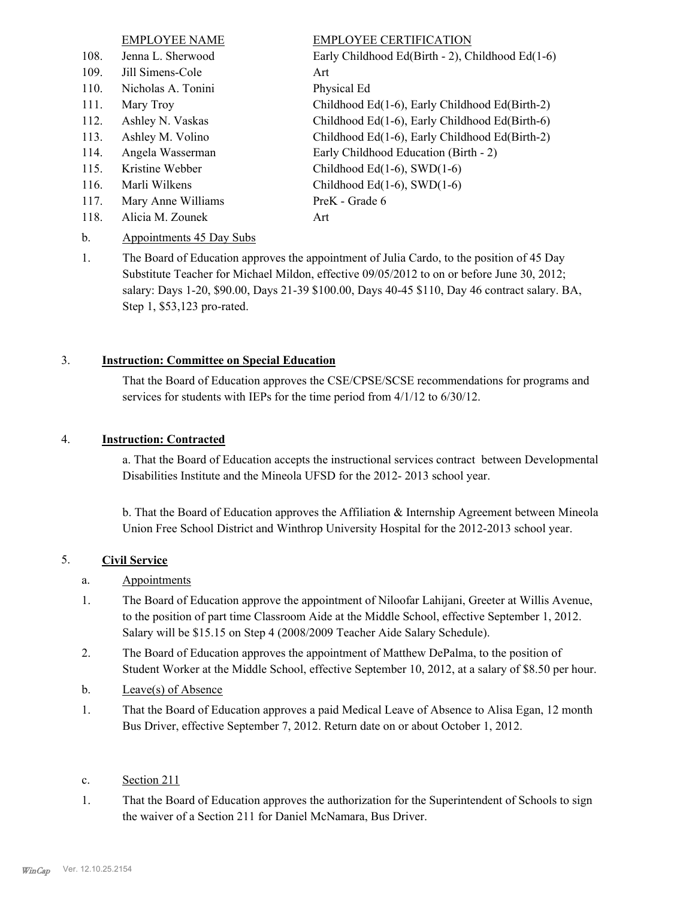|      | <b>EMPLOYEE NAME</b> | <b>EMPLOYEE CERTIFICATION</b>                    |
|------|----------------------|--------------------------------------------------|
| 108. | Jenna L. Sherwood    | Early Childhood Ed(Birth - 2), Childhood Ed(1-6) |
| 109. | Jill Simens-Cole     | Art                                              |
| 110. | Nicholas A. Tonini   | Physical Ed                                      |
| 111. | Mary Troy            | Childhood Ed(1-6), Early Childhood Ed(Birth-2)   |
| 112. | Ashley N. Vaskas     | Childhood Ed(1-6), Early Childhood Ed(Birth-6)   |
| 113. | Ashley M. Volino     | Childhood Ed(1-6), Early Childhood Ed(Birth-2)   |
| 114. | Angela Wasserman     | Early Childhood Education (Birth - 2)            |
| 115. | Kristine Webber      | Childhood Ed $(1-6)$ , SWD $(1-6)$               |
| 116. | Marli Wilkens        | Childhood Ed $(1-6)$ , SWD $(1-6)$               |
| 117. | Mary Anne Williams   | PreK - Grade 6                                   |
| 118. | Alicia M. Zounek     | Art                                              |

- b. Appointments 45 Day Subs
- The Board of Education approves the appointment of Julia Cardo, to the position of 45 Day Substitute Teacher for Michael Mildon, effective 09/05/2012 to on or before June 30, 2012; salary: Days 1-20, \$90.00, Days 21-39 \$100.00, Days 40-45 \$110, Day 46 contract salary. BA, Step 1, \$53,123 pro-rated. 1.

#### 3. **Instruction: Committee on Special Education**

That the Board of Education approves the CSE/CPSE/SCSE recommendations for programs and services for students with IEPs for the time period from 4/1/12 to 6/30/12.

#### 4. **Instruction: Contracted**

a. That the Board of Education accepts the instructional services contract between Developmental Disabilities Institute and the Mineola UFSD for the 2012- 2013 school year.

b. That the Board of Education approves the Affiliation & Internship Agreement between Mineola Union Free School District and Winthrop University Hospital for the 2012-2013 school year.

#### 5. **Civil Service**

- a. Appointments
- The Board of Education approve the appointment of Niloofar Lahijani, Greeter at Willis Avenue, to the position of part time Classroom Aide at the Middle School, effective September 1, 2012. Salary will be \$15.15 on Step 4 (2008/2009 Teacher Aide Salary Schedule). 1.
- The Board of Education approves the appointment of Matthew DePalma, to the position of Student Worker at the Middle School, effective September 10, 2012, at a salary of \$8.50 per hour. 2.
- b. Leave(s) of Absence
- That the Board of Education approves a paid Medical Leave of Absence to Alisa Egan, 12 month Bus Driver, effective September 7, 2012. Return date on or about October 1, 2012. 1.
- c. Section 211
- That the Board of Education approves the authorization for the Superintendent of Schools to sign the waiver of a Section 211 for Daniel McNamara, Bus Driver. 1.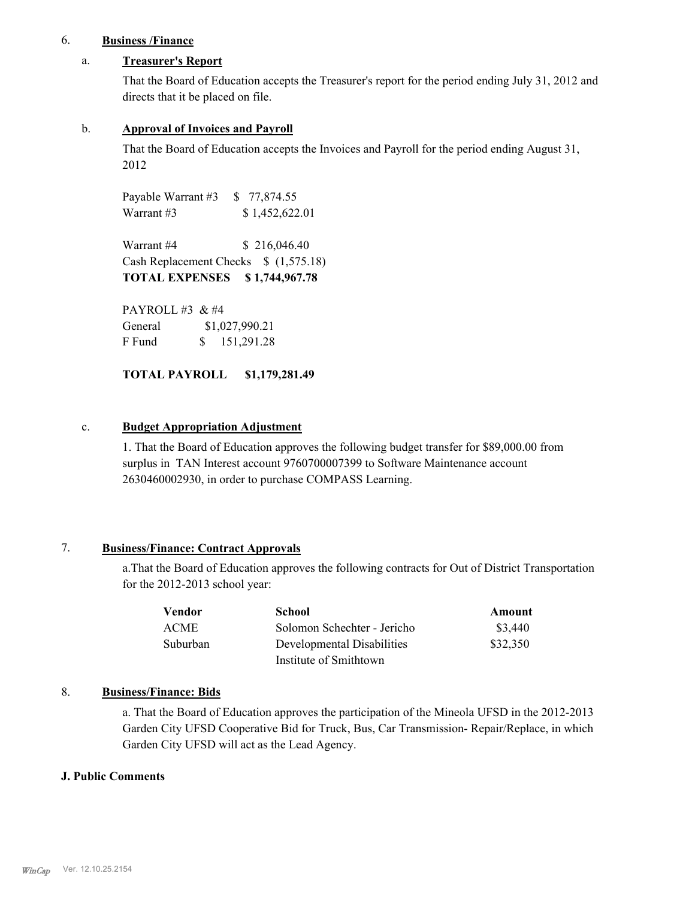### 6. **Business /Finance**

#### a. **Treasurer's Report**

That the Board of Education accepts the Treasurer's report for the period ending July 31, 2012 and directs that it be placed on file.

#### b. **Approval of Invoices and Payroll**

That the Board of Education accepts the Invoices and Payroll for the period ending August 31, 2012

Payable Warrant #3 \$ 77,874.55 Warrant #3 \$ 1,452,622.01

Warrant #4 \$ 216,046.40 Cash Replacement Checks \$ (1,575.18) **TOTAL EXPENSES \$ 1,744,967.78**

PAYROLL #3 & #4 General  $$1,027,990.21$ F Fund \$ 151,291.28

**TOTAL PAYROLL \$1,179,281.49**

#### c. **Budget Appropriation Adjustment**

1. That the Board of Education approves the following budget transfer for \$89,000.00 from surplus in TAN Interest account 9760700007399 to Software Maintenance account 2630460002930, in order to purchase COMPASS Learning.

#### 7. **Business/Finance: Contract Approvals**

a.That the Board of Education approves the following contracts for Out of District Transportation for the 2012-2013 school year:

| Vendor      | <b>School</b>               | Amount   |
|-------------|-----------------------------|----------|
| <b>ACME</b> | Solomon Schechter - Jericho | \$3,440  |
| Suburban    | Developmental Disabilities  | \$32,350 |
|             | Institute of Smithtown      |          |

### 8. **Business/Finance: Bids**

a. That the Board of Education approves the participation of the Mineola UFSD in the 2012-2013 Garden City UFSD Cooperative Bid for Truck, Bus, Car Transmission- Repair/Replace, in which Garden City UFSD will act as the Lead Agency.

#### **J. Public Comments**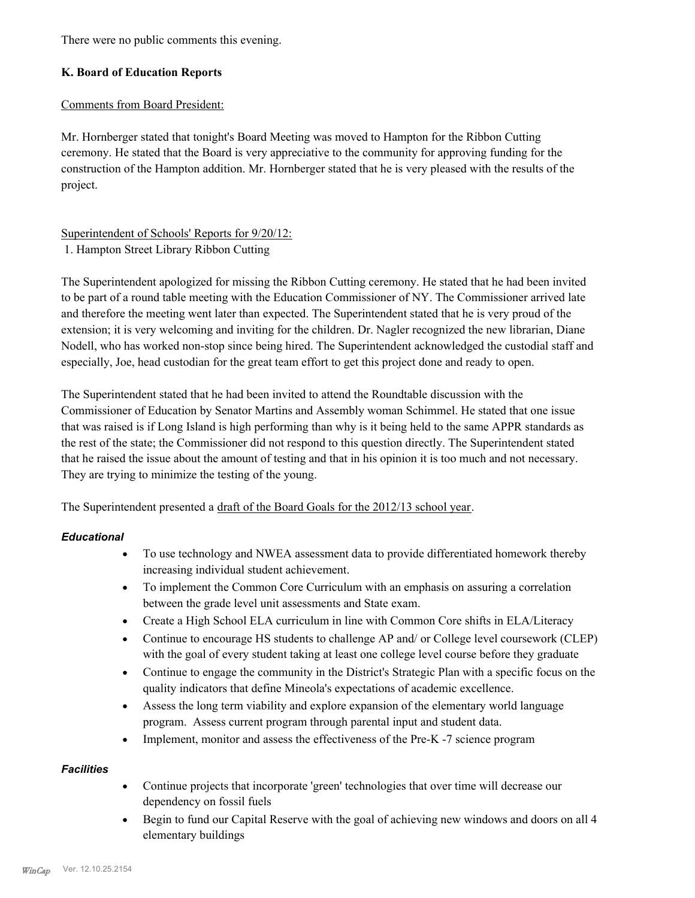There were no public comments this evening.

### **K. Board of Education Reports**

#### Comments from Board President:

Mr. Hornberger stated that tonight's Board Meeting was moved to Hampton for the Ribbon Cutting ceremony. He stated that the Board is very appreciative to the community for approving funding for the construction of the Hampton addition. Mr. Hornberger stated that he is very pleased with the results of the project.

# Superintendent of Schools' Reports for 9/20/12:

1. Hampton Street Library Ribbon Cutting

The Superintendent apologized for missing the Ribbon Cutting ceremony. He stated that he had been invited to be part of a round table meeting with the Education Commissioner of NY. The Commissioner arrived late and therefore the meeting went later than expected. The Superintendent stated that he is very proud of the extension; it is very welcoming and inviting for the children. Dr. Nagler recognized the new librarian, Diane Nodell, who has worked non-stop since being hired. The Superintendent acknowledged the custodial staff and especially, Joe, head custodian for the great team effort to get this project done and ready to open.

The Superintendent stated that he had been invited to attend the Roundtable discussion with the Commissioner of Education by Senator Martins and Assembly woman Schimmel. He stated that one issue that was raised is if Long Island is high performing than why is it being held to the same APPR standards as the rest of the state; the Commissioner did not respond to this question directly. The Superintendent stated that he raised the issue about the amount of testing and that in his opinion it is too much and not necessary. They are trying to minimize the testing of the young.

The Superintendent presented a draft of the Board Goals for the 2012/13 school year.

#### *Educational*

- · To use technology and NWEA assessment data to provide differentiated homework thereby increasing individual student achievement.
- · To implement the Common Core Curriculum with an emphasis on assuring a correlation between the grade level unit assessments and State exam.
- · Create a High School ELA curriculum in line with Common Core shifts in ELA/Literacy
- · Continue to encourage HS students to challenge AP and/ or College level coursework (CLEP) with the goal of every student taking at least one college level course before they graduate
- · Continue to engage the community in the District's Strategic Plan with a specific focus on the quality indicators that define Mineola's expectations of academic excellence.
- · Assess the long term viability and explore expansion of the elementary world language program. Assess current program through parental input and student data.
- Implement, monitor and assess the effectiveness of the Pre-K -7 science program

#### *Facilities*

- · Continue projects that incorporate 'green' technologies that over time will decrease our dependency on fossil fuels
- · Begin to fund our Capital Reserve with the goal of achieving new windows and doors on all 4 elementary buildings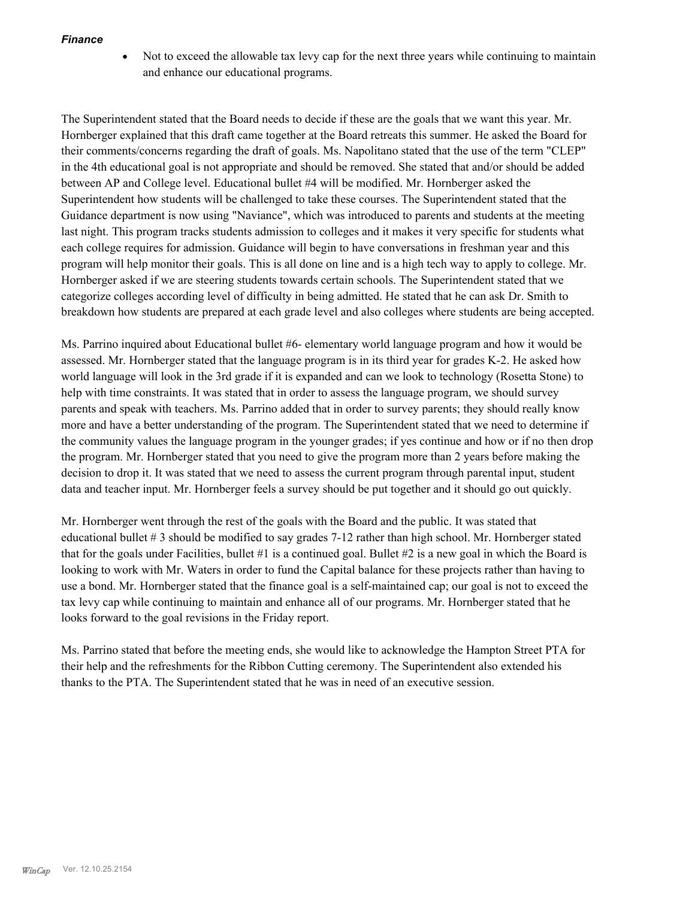#### *Finance*

• Not to exceed the allowable tax levy cap for the next three years while continuing to maintain and enhance our educational programs.

The Superintendent stated that the Board needs to decide if these are the goals that we want this year. Mr. Hornberger explained that this draft came together at the Board retreats this summer. He asked the Board for their comments/concerns regarding the draft of goals. Ms. Napolitano stated that the use of the term "CLEP" in the 4th educational goal is not appropriate and should be removed. She stated that and/or should be added between AP and College level. Educational bullet #4 will be modified. Mr. Hornberger asked the Superintendent how students will be challenged to take these courses. The Superintendent stated that the Guidance department is now using "Naviance", which was introduced to parents and students at the meeting last night. This program tracks students admission to colleges and it makes it very specific for students what each college requires for admission. Guidance will begin to have conversations in freshman year and this program will help monitor their goals. This is all done on line and is a high tech way to apply to college. Mr. Hornberger asked if we are steering students towards certain schools. The Superintendent stated that we categorize colleges according level of difficulty in being admitted. He stated that he can ask Dr. Smith to breakdown how students are prepared at each grade level and also colleges where students are being accepted.

Ms. Parrino inquired about Educational bullet #6- elementary world language program and how it would be assessed. Mr. Hornberger stated that the language program is in its third year for grades K-2. He asked how world language will look in the 3rd grade if it is expanded and can we look to technology (Rosetta Stone) to help with time constraints. It was stated that in order to assess the language program, we should survey parents and speak with teachers. Ms. Parrino added that in order to survey parents; they should really know more and have a better understanding of the program. The Superintendent stated that we need to determine if the community values the language program in the younger grades; if yes continue and how or if no then drop the program. Mr. Hornberger stated that you need to give the program more than 2 years before making the decision to drop it. It was stated that we need to assess the current program through parental input, student data and teacher input. Mr. Hornberger feels a survey should be put together and it should go out quickly.

Mr. Hornberger went through the rest of the goals with the Board and the public. It was stated that educational bullet # 3 should be modified to say grades 7-12 rather than high school. Mr. Hornberger stated that for the goals under Facilities, bullet #1 is a continued goal. Bullet #2 is a new goal in which the Board is looking to work with Mr. Waters in order to fund the Capital balance for these projects rather than having to use a bond. Mr. Hornberger stated that the finance goal is a self-maintained cap; our goal is not to exceed the tax levy cap while continuing to maintain and enhance all of our programs. Mr. Hornberger stated that he looks forward to the goal revisions in the Friday report.

Ms. Parrino stated that before the meeting ends, she would like to acknowledge the Hampton Street PTA for their help and the refreshments for the Ribbon Cutting ceremony. The Superintendent also extended his thanks to the PTA. The Superintendent stated that he was in need of an executive session.